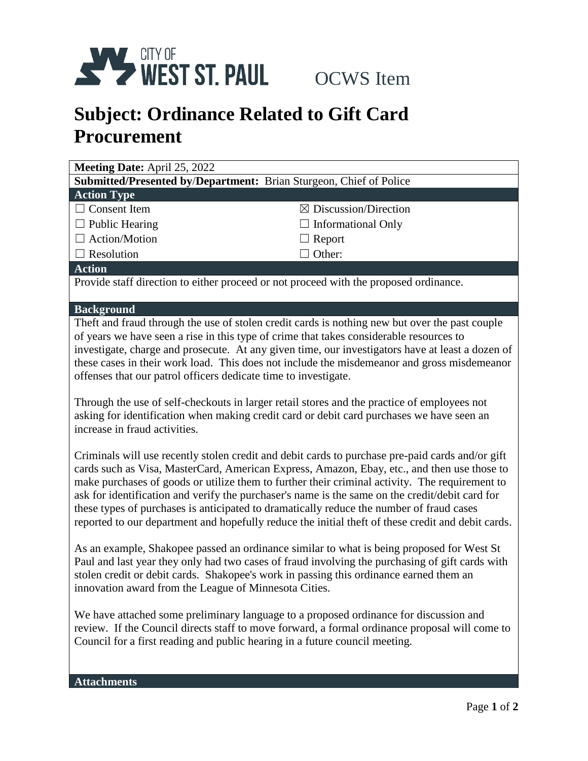

## **Subject: Ordinance Related to Gift Card Procurement**

| <b>Meeting Date: April 25, 2022</b>                                       |                                  |
|---------------------------------------------------------------------------|----------------------------------|
| <b>Submitted/Presented by/Department:</b> Brian Sturgeon, Chief of Police |                                  |
| <b>Action Type</b>                                                        |                                  |
| $\Box$ Consent Item                                                       | $\boxtimes$ Discussion/Direction |
| $\Box$ Public Hearing                                                     | $\Box$ Informational Only        |
| $\Box$ Action/Motion                                                      | $\Box$ Report                    |
| $\Box$ Resolution                                                         | $\Box$ Other:                    |
| <b>Action</b>                                                             |                                  |
|                                                                           |                                  |

Provide staff direction to either proceed or not proceed with the proposed ordinance.

## **Background**

Theft and fraud through the use of stolen credit cards is nothing new but over the past couple of years we have seen a rise in this type of crime that takes considerable resources to investigate, charge and prosecute. At any given time, our investigators have at least a dozen of these cases in their work load. This does not include the misdemeanor and gross misdemeanor offenses that our patrol officers dedicate time to investigate.

Through the use of self-checkouts in larger retail stores and the practice of employees not asking for identification when making credit card or debit card purchases we have seen an increase in fraud activities.

Criminals will use recently stolen credit and debit cards to purchase pre-paid cards and/or gift cards such as Visa, MasterCard, American Express, Amazon, Ebay, etc., and then use those to make purchases of goods or utilize them to further their criminal activity. The requirement to ask for identification and verify the purchaser's name is the same on the credit/debit card for these types of purchases is anticipated to dramatically reduce the number of fraud cases reported to our department and hopefully reduce the initial theft of these credit and debit cards.

As an example, Shakopee passed an ordinance similar to what is being proposed for West St Paul and last year they only had two cases of fraud involving the purchasing of gift cards with stolen credit or debit cards. Shakopee's work in passing this ordinance earned them an innovation award from the League of Minnesota Cities.

We have attached some preliminary language to a proposed ordinance for discussion and review. If the Council directs staff to move forward, a formal ordinance proposal will come to Council for a first reading and public hearing in a future council meeting.

**Attachments**